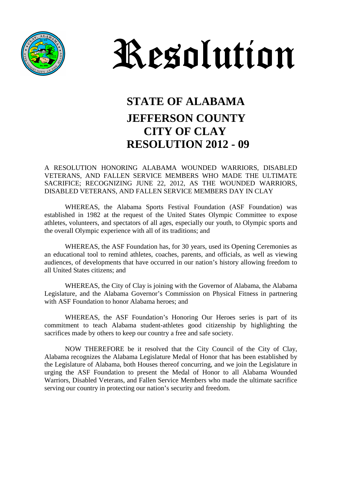



## **STATE OF ALABAMA JEFFERSON COUNTY CITY OF CLAY RESOLUTION 2012 - 09**

#### A RESOLUTION HONORING ALABAMA WOUNDED WARRIORS, DISABLED VETERANS, AND FALLEN SERVICE MEMBERS WHO MADE THE ULTIMATE SACRIFICE; RECOGNIZING JUNE 22, 2012, AS THE WOUNDED WARRIORS, DISABLED VETERANS, AND FALLEN SERVICE MEMBERS DAY IN CLAY

WHEREAS, the Alabama Sports Festival Foundation (ASF Foundation) was established in 1982 at the request of the United States Olympic Committee to expose athletes, volunteers, and spectators of all ages, especially our youth, to Olympic sports and the overall Olympic experience with all of its traditions; and

WHEREAS, the ASF Foundation has, for 30 years, used its Opening Ceremonies as an educational tool to remind athletes, coaches, parents, and officials, as well as viewing audiences, of developments that have occurred in our nation's history allowing freedom to all United States citizens; and

WHEREAS, the City of Clay is joining with the Governor of Alabama, the Alabama Legislature, and the Alabama Governor's Commission on Physical Fitness in partnering with ASF Foundation to honor Alabama heroes; and

WHEREAS, the ASF Foundation's Honoring Our Heroes series is part of its commitment to teach Alabama student-athletes good citizenship by highlighting the sacrifices made by others to keep our country a free and safe society.

NOW THEREFORE be it resolved that the City Council of the City of Clay, Alabama recognizes the Alabama Legislature Medal of Honor that has been established by the Legislature of Alabama, both Houses thereof concurring, and we join the Legislature in urging the ASF Foundation to present the Medal of Honor to all Alabama Wounded Warriors, Disabled Veterans, and Fallen Service Members who made the ultimate sacrifice serving our country in protecting our nation's security and freedom.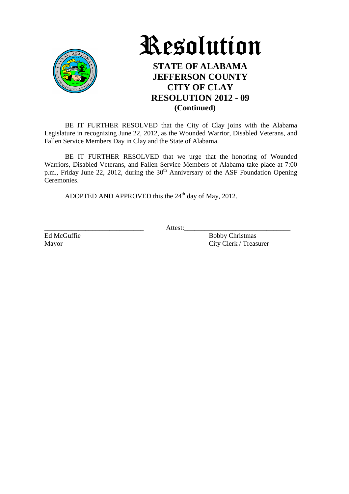



### **STATE OF ALABAMA JEFFERSON COUNTY CITY OF CLAY RESOLUTION 2012 - 09 (Continued)**

BE IT FURTHER RESOLVED that the City of Clay joins with the Alabama Legislature in recognizing June 22, 2012, as the Wounded Warrior, Disabled Veterans, and Fallen Service Members Day in Clay and the State of Alabama.

BE IT FURTHER RESOLVED that we urge that the honoring of Wounded Warriors, Disabled Veterans, and Fallen Service Members of Alabama take place at 7:00 p.m., Friday June 22, 2012, during the  $30<sup>th</sup>$  Anniversary of the ASF Foundation Opening Ceremonies.

ADOPTED AND APPROVED this the  $24<sup>th</sup>$  day of May, 2012.

\_\_\_\_\_\_\_\_\_\_\_\_\_\_\_\_\_\_\_\_\_\_\_\_\_\_\_\_\_ Attest:\_\_\_\_\_\_\_\_\_\_\_\_\_\_\_\_\_\_\_\_\_\_\_\_\_\_\_\_\_\_\_

Ed McGuffie Bobby Christmas Mayor City Clerk / Treasurer